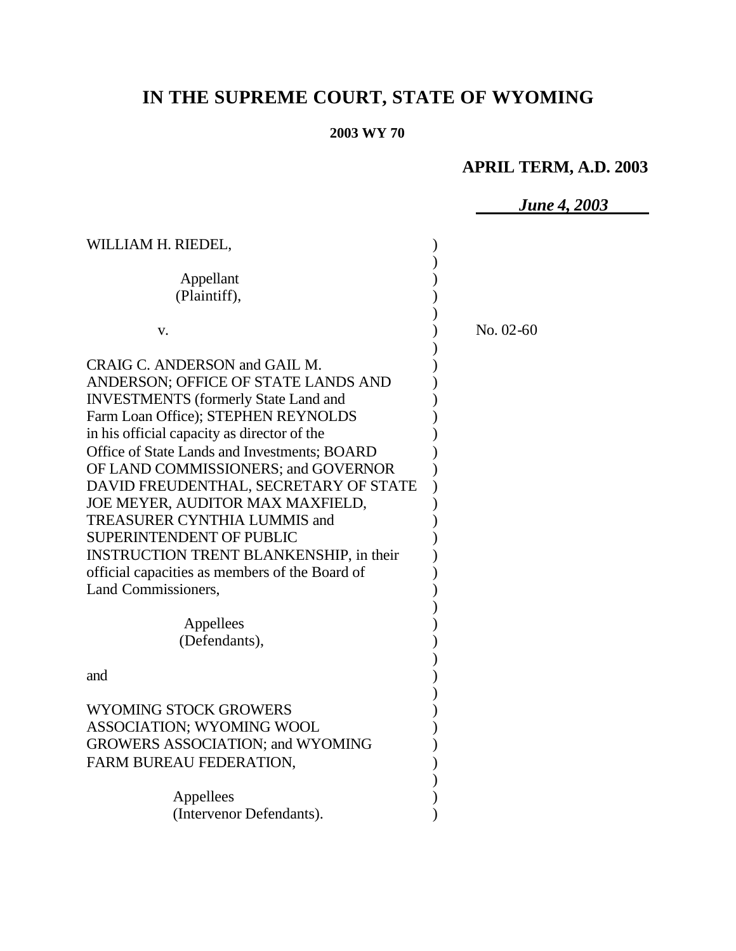# **IN THE SUPREME COURT, STATE OF WYOMING**

#### **2003 WY 70**

# **APRIL TERM, A.D. 2003**

*June 4, 2003* WILLIAM H. RIEDEL,  $($ ) Appellant (b) (Plaintiff), ) ) v. ) No. 02-60 ) CRAIG C. ANDERSON and GAIL M. ANDERSON; OFFICE OF STATE LANDS AND ) INVESTMENTS (formerly State Land and ) Farm Loan Office); STEPHEN REYNOLDS in his official capacity as director of the  $\qquad \qquad$  ) Office of State Lands and Investments; BOARD ) OF LAND COMMISSIONERS; and GOVERNOR DAVID FREUDENTHAL, SECRETARY OF STATE ) JOE MEYER, AUDITOR MAX MAXFIELD, TREASURER CYNTHIA LUMMIS and ) SUPERINTENDENT OF PUBLIC (2002) INSTRUCTION TRENT BLANKENSHIP, in their  $)$ official capacities as members of the Board of ) Land Commissioners. ) Appellees ) (Defendants), ) and ) and ( ) WYOMING STOCK GROWERS ASSOCIATION; WYOMING WOOL ) GROWERS ASSOCIATION; and WYOMING ) FARM BUREAU FEDERATION, THE SERVICE OF STRAIN (STAR) ) Appellees (a) (Intervenor Defendants).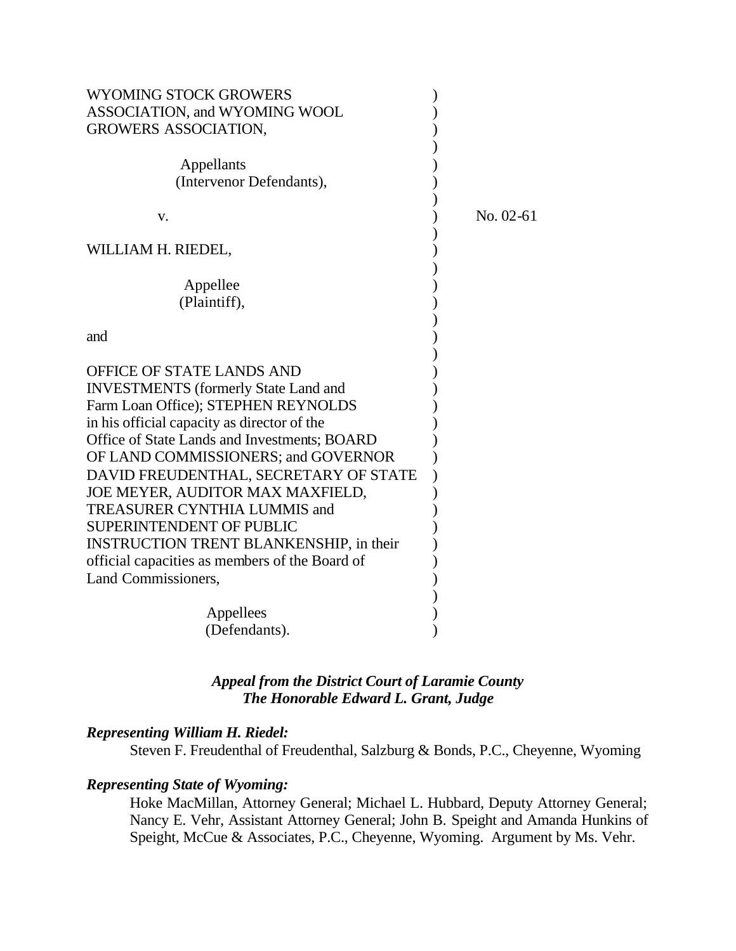| <b>WYOMING STOCK GROWERS</b>                   |             |
|------------------------------------------------|-------------|
| ASSOCIATION, and WYOMING WOOL                  |             |
| <b>GROWERS ASSOCIATION,</b>                    |             |
|                                                |             |
| Appellants                                     |             |
| (Intervenor Defendants),                       |             |
|                                                |             |
| v.                                             | $No. 02-61$ |
|                                                |             |
| WILLIAM H. RIEDEL,                             |             |
|                                                |             |
| Appellee                                       |             |
| (Plaintiff),                                   |             |
|                                                |             |
| and                                            |             |
|                                                |             |
|                                                |             |
| OFFICE OF STATE LANDS AND                      |             |
| <b>INVESTMENTS</b> (formerly State Land and    |             |
| Farm Loan Office); STEPHEN REYNOLDS            |             |
| in his official capacity as director of the    |             |
| Office of State Lands and Investments; BOARD   |             |
| OF LAND COMMISSIONERS; and GOVERNOR            |             |
| DAVID FREUDENTHAL, SECRETARY OF STATE          |             |
| JOE MEYER, AUDITOR MAX MAXFIELD,               |             |
| <b>TREASURER CYNTHIA LUMMIS and</b>            |             |
| <b>SUPERINTENDENT OF PUBLIC</b>                |             |
| <b>INSTRUCTION TRENT BLANKENSHIP, in their</b> |             |
| official capacities as members of the Board of |             |
| Land Commissioners,                            |             |
|                                                |             |
| Appellees                                      |             |
| (Defendants).                                  |             |
|                                                |             |

# *Appeal from the District Court of Laramie County The Honorable Edward L. Grant, Judge*

### *Representing William H. Riedel:*

Steven F. Freudenthal of Freudenthal, Salzburg & Bonds, P.C., Cheyenne, Wyoming

# *Representing State of Wyoming:*

Hoke MacMillan, Attorney General; Michael L. Hubbard, Deputy Attorney General; Nancy E. Vehr, Assistant Attorney General; John B. Speight and Amanda Hunkins of Speight, McCue & Associates, P.C., Cheyenne, Wyoming. Argument by Ms. Vehr.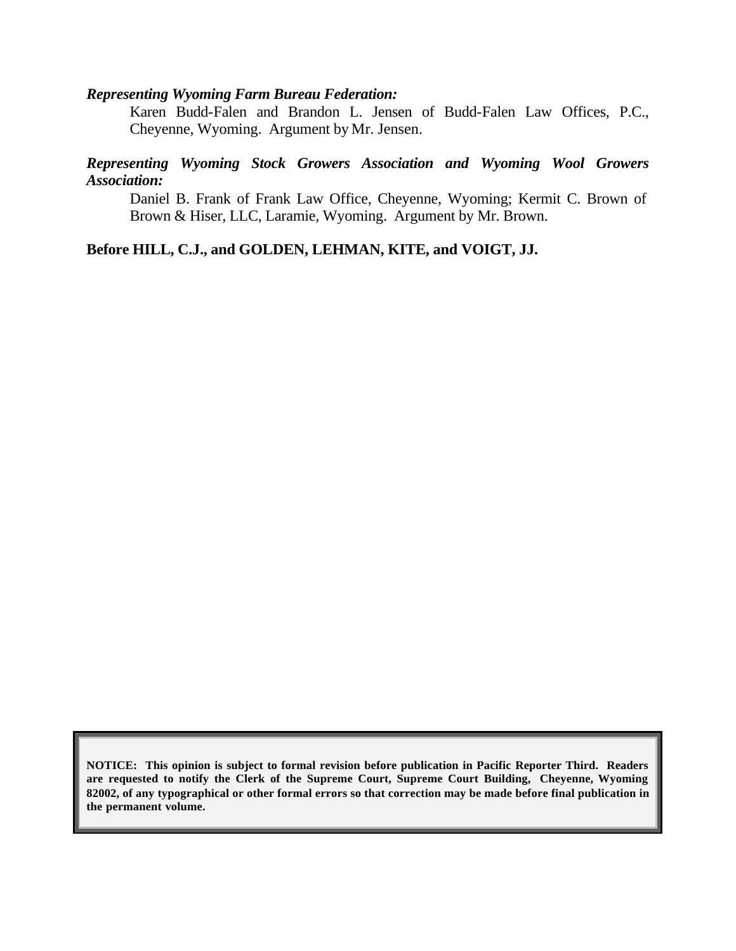#### *Representing Wyoming Farm Bureau Federation:*

Karen Budd-Falen and Brandon L. Jensen of Budd-Falen Law Offices, P.C., Cheyenne, Wyoming. Argument by Mr. Jensen.

### *Representing Wyoming Stock Growers Association and Wyoming Wool Growers Association:*

Daniel B. Frank of Frank Law Office, Cheyenne, Wyoming; Kermit C. Brown of Brown & Hiser, LLC, Laramie, Wyoming. Argument by Mr. Brown.

### **Before HILL, C.J., and GOLDEN, LEHMAN, KITE, and VOIGT, JJ.**

**NOTICE: This opinion is subject to formal revision before publication in Pacific Reporter Third. Readers are requested to notify the Clerk of the Supreme Court, Supreme Court Building, Cheyenne, Wyoming 82002, of any typographical or other formal errors so that correction may be made before final publication in the permanent volume.**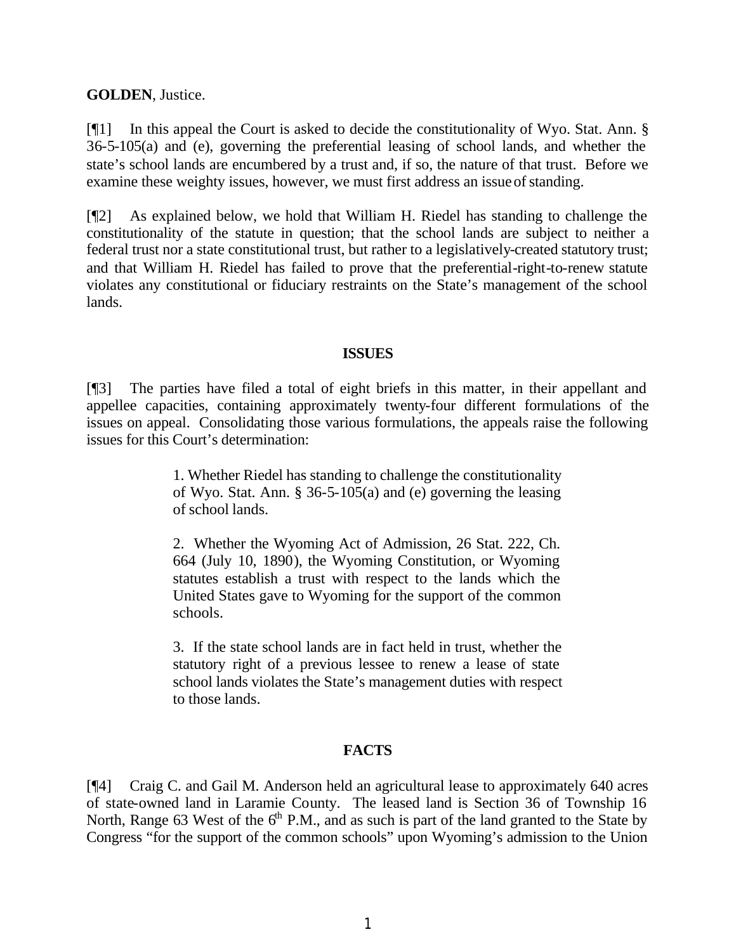**GOLDEN**, Justice.

[¶1] In this appeal the Court is asked to decide the constitutionality of Wyo. Stat. Ann. § 36-5-105(a) and (e), governing the preferential leasing of school lands, and whether the state's school lands are encumbered by a trust and, if so, the nature of that trust. Before we examine these weighty issues, however, we must first address an issue of standing.

[¶2] As explained below, we hold that William H. Riedel has standing to challenge the constitutionality of the statute in question; that the school lands are subject to neither a federal trust nor a state constitutional trust, but rather to a legislatively-created statutory trust; and that William H. Riedel has failed to prove that the preferential-right-to-renew statute violates any constitutional or fiduciary restraints on the State's management of the school lands.

#### **ISSUES**

[¶3] The parties have filed a total of eight briefs in this matter, in their appellant and appellee capacities, containing approximately twenty-four different formulations of the issues on appeal. Consolidating those various formulations, the appeals raise the following issues for this Court's determination:

> 1. Whether Riedel has standing to challenge the constitutionality of Wyo. Stat. Ann. § 36-5-105(a) and (e) governing the leasing of school lands.

> 2. Whether the Wyoming Act of Admission, 26 Stat. 222, Ch. 664 (July 10, 1890), the Wyoming Constitution, or Wyoming statutes establish a trust with respect to the lands which the United States gave to Wyoming for the support of the common schools.

> 3. If the state school lands are in fact held in trust, whether the statutory right of a previous lessee to renew a lease of state school lands violates the State's management duties with respect to those lands.

### **FACTS**

[¶4] Craig C. and Gail M. Anderson held an agricultural lease to approximately 640 acres of state-owned land in Laramie County. The leased land is Section 36 of Township 16 North, Range 63 West of the  $6<sup>th</sup>$  P.M., and as such is part of the land granted to the State by Congress "for the support of the common schools" upon Wyoming's admission to the Union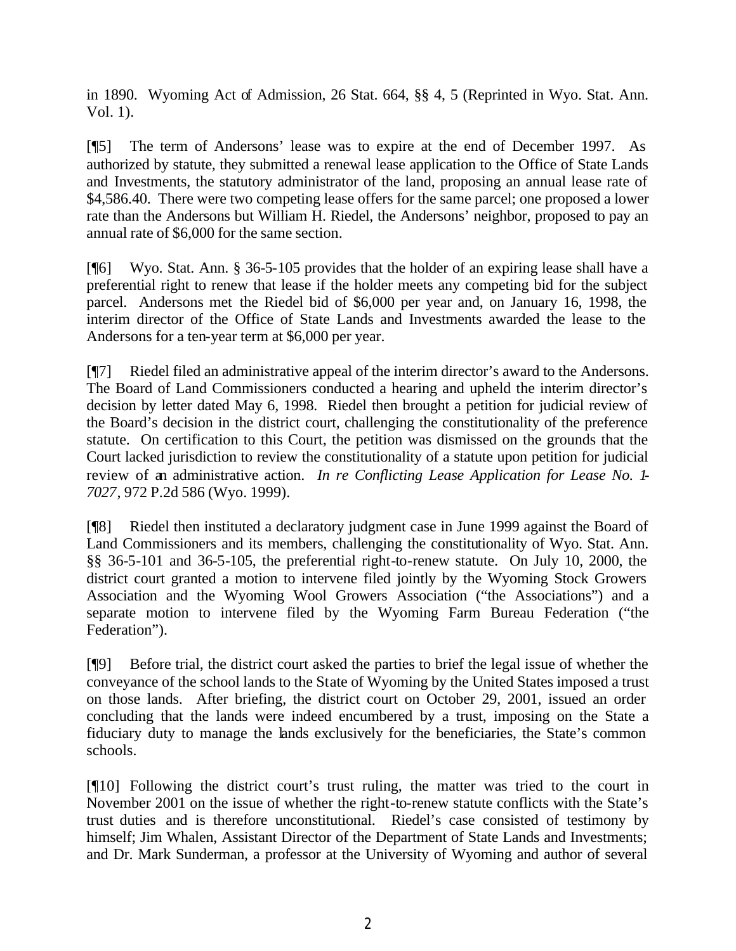in 1890. Wyoming Act of Admission, 26 Stat. 664, §§ 4, 5 (Reprinted in Wyo. Stat. Ann. Vol. 1).

[¶5] The term of Andersons' lease was to expire at the end of December 1997. As authorized by statute, they submitted a renewal lease application to the Office of State Lands and Investments, the statutory administrator of the land, proposing an annual lease rate of \$4,586.40. There were two competing lease offers for the same parcel; one proposed a lower rate than the Andersons but William H. Riedel, the Andersons' neighbor, proposed to pay an annual rate of \$6,000 for the same section.

[¶6] Wyo. Stat. Ann. § 36-5-105 provides that the holder of an expiring lease shall have a preferential right to renew that lease if the holder meets any competing bid for the subject parcel. Andersons met the Riedel bid of \$6,000 per year and, on January 16, 1998, the interim director of the Office of State Lands and Investments awarded the lease to the Andersons for a ten-year term at \$6,000 per year.

[¶7] Riedel filed an administrative appeal of the interim director's award to the Andersons. The Board of Land Commissioners conducted a hearing and upheld the interim director's decision by letter dated May 6, 1998. Riedel then brought a petition for judicial review of the Board's decision in the district court, challenging the constitutionality of the preference statute. On certification to this Court, the petition was dismissed on the grounds that the Court lacked jurisdiction to review the constitutionality of a statute upon petition for judicial review of an administrative action. *In re Conflicting Lease Application for Lease No. 1- 7027*, 972 P.2d 586 (Wyo. 1999).

[¶8] Riedel then instituted a declaratory judgment case in June 1999 against the Board of Land Commissioners and its members, challenging the constitutionality of Wyo. Stat. Ann. §§ 36-5-101 and 36-5-105, the preferential right-to-renew statute. On July 10, 2000, the district court granted a motion to intervene filed jointly by the Wyoming Stock Growers Association and the Wyoming Wool Growers Association ("the Associations") and a separate motion to intervene filed by the Wyoming Farm Bureau Federation ("the Federation").

[¶9] Before trial, the district court asked the parties to brief the legal issue of whether the conveyance of the school lands to the State of Wyoming by the United States imposed a trust on those lands. After briefing, the district court on October 29, 2001, issued an order concluding that the lands were indeed encumbered by a trust, imposing on the State a fiduciary duty to manage the lands exclusively for the beneficiaries, the State's common schools.

[¶10] Following the district court's trust ruling, the matter was tried to the court in November 2001 on the issue of whether the right-to-renew statute conflicts with the State's trust duties and is therefore unconstitutional. Riedel's case consisted of testimony by himself; Jim Whalen, Assistant Director of the Department of State Lands and Investments; and Dr. Mark Sunderman, a professor at the University of Wyoming and author of several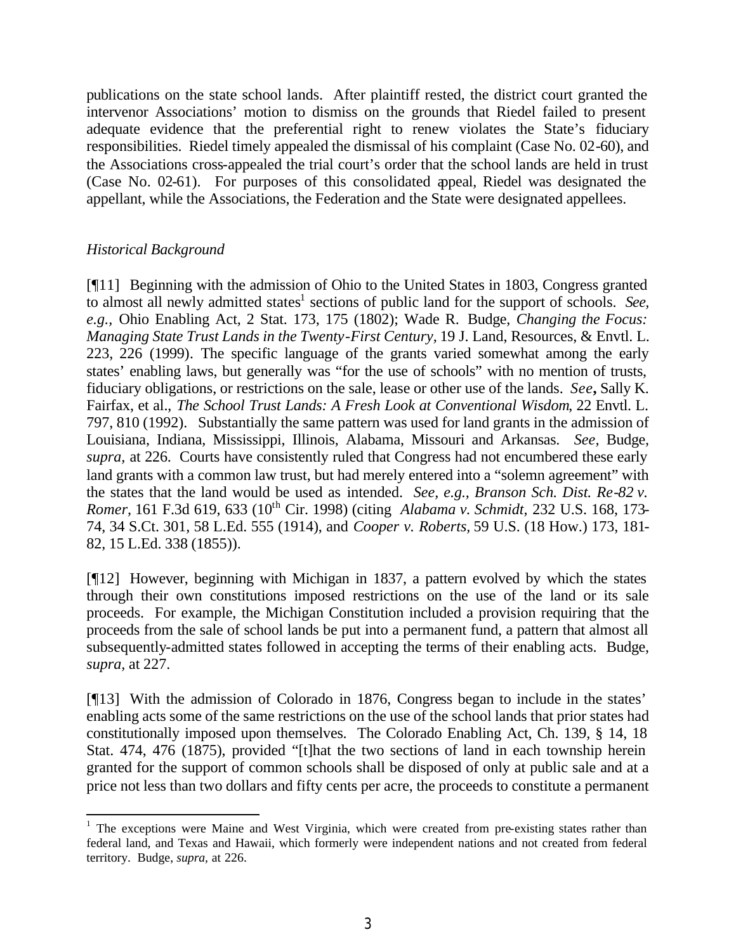publications on the state school lands. After plaintiff rested, the district court granted the intervenor Associations' motion to dismiss on the grounds that Riedel failed to present adequate evidence that the preferential right to renew violates the State's fiduciary responsibilities. Riedel timely appealed the dismissal of his complaint (Case No. 02-60), and the Associations cross-appealed the trial court's order that the school lands are held in trust (Case No. 02-61). For purposes of this consolidated appeal, Riedel was designated the appellant, while the Associations, the Federation and the State were designated appellees.

# *Historical Background*

[¶11] Beginning with the admission of Ohio to the United States in 1803, Congress granted to almost all newly admitted states<sup>1</sup> sections of public land for the support of schools. See, *e.g.,* Ohio Enabling Act, 2 Stat. 173, 175 (1802); Wade R. Budge, *Changing the Focus: Managing State Trust Lands in the Twenty-First Century,* 19 J. Land, Resources, & Envtl. L. 223, 226 (1999)*.* The specific language of the grants varied somewhat among the early states' enabling laws, but generally was "for the use of schools" with no mention of trusts, fiduciary obligations, or restrictions on the sale, lease or other use of the lands. *See***,** Sally K. Fairfax, et al., *The School Trust Lands: A Fresh Look at Conventional Wisdom*, 22 Envtl. L. 797, 810 (1992). Substantially the same pattern was used for land grants in the admission of Louisiana, Indiana, Mississippi, Illinois, Alabama, Missouri and Arkansas. *See,* Budge, *supra,* at 226. Courts have consistently ruled that Congress had not encumbered these early land grants with a common law trust, but had merely entered into a "solemn agreement" with the states that the land would be used as intended. *See, e.g., Branson Sch. Dist. Re-82 v. Romer,* 161 F.3d 619, 633 (10th Cir. 1998) (citing *Alabama v. Schmidt,* 232 U.S. 168, 173- 74, 34 S.Ct. 301, 58 L.Ed. 555 (1914), and *Cooper v. Roberts,* 59 U.S. (18 How.) 173, 181- 82, 15 L.Ed. 338 (1855)).

[¶12] However, beginning with Michigan in 1837, a pattern evolved by which the states through their own constitutions imposed restrictions on the use of the land or its sale proceeds. For example, the Michigan Constitution included a provision requiring that the proceeds from the sale of school lands be put into a permanent fund, a pattern that almost all subsequently-admitted states followed in accepting the terms of their enabling acts. Budge, *supra,* at 227.

[¶13] With the admission of Colorado in 1876, Congress began to include in the states' enabling acts some of the same restrictions on the use of the school lands that prior states had constitutionally imposed upon themselves. The Colorado Enabling Act, Ch. 139, § 14, 18 Stat. 474, 476 (1875), provided "[t]hat the two sections of land in each township herein granted for the support of common schools shall be disposed of only at public sale and at a price not less than two dollars and fifty cents per acre, the proceeds to constitute a permanent

 <sup>1</sup> The exceptions were Maine and West Virginia, which were created from pre-existing states rather than federal land, and Texas and Hawaii, which formerly were independent nations and not created from federal territory. Budge, *supra,* at 226.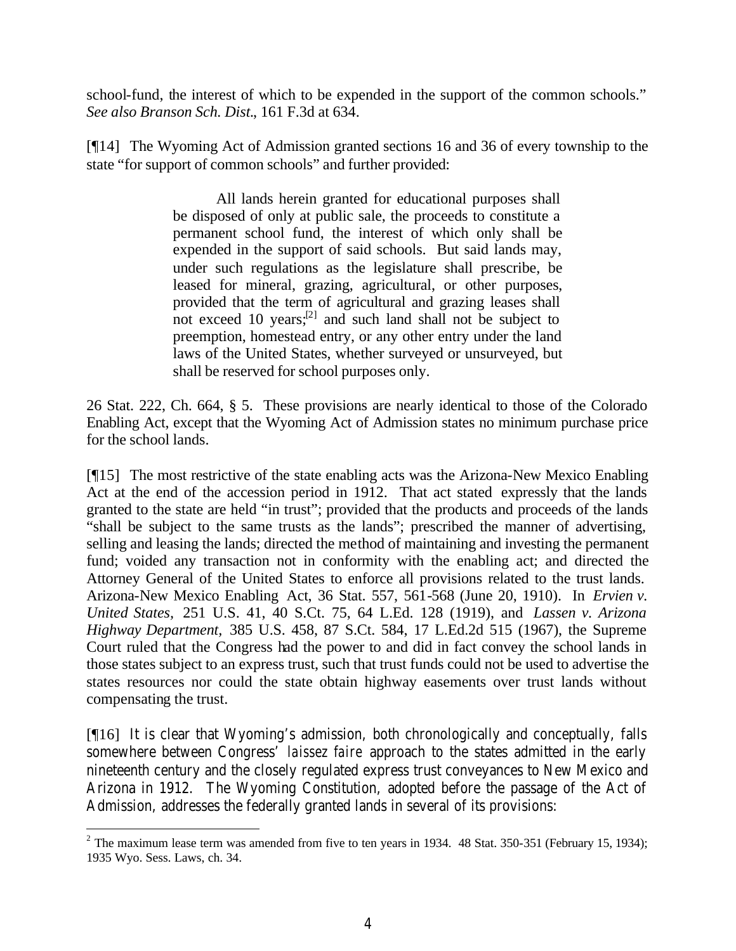school-fund, the interest of which to be expended in the support of the common schools." *See also Branson Sch. Dist.*, 161 F.3d at 634.

[¶14] The Wyoming Act of Admission granted sections 16 and 36 of every township to the state "for support of common schools" and further provided:

> All lands herein granted for educational purposes shall be disposed of only at public sale, the proceeds to constitute a permanent school fund, the interest of which only shall be expended in the support of said schools. But said lands may, under such regulations as the legislature shall prescribe, be leased for mineral, grazing, agricultural, or other purposes, provided that the term of agricultural and grazing leases shall not exceed 10 years; $^{[2]}$  and such land shall not be subject to preemption, homestead entry, or any other entry under the land laws of the United States, whether surveyed or unsurveyed, but shall be reserved for school purposes only.

26 Stat. 222, Ch. 664, § 5. These provisions are nearly identical to those of the Colorado Enabling Act, except that the Wyoming Act of Admission states no minimum purchase price for the school lands.

[¶15] The most restrictive of the state enabling acts was the Arizona-New Mexico Enabling Act at the end of the accession period in 1912. That act stated expressly that the lands granted to the state are held "in trust"; provided that the products and proceeds of the lands "shall be subject to the same trusts as the lands"; prescribed the manner of advertising, selling and leasing the lands; directed the method of maintaining and investing the permanent fund; voided any transaction not in conformity with the enabling act; and directed the Attorney General of the United States to enforce all provisions related to the trust lands. Arizona-New Mexico Enabling Act, 36 Stat. 557, 561-568 (June 20, 1910). In *Ervien v. United States,* 251 U.S. 41, 40 S.Ct. 75, 64 L.Ed. 128 (1919), and *Lassen v. Arizona Highway Department,* 385 U.S. 458, 87 S.Ct. 584, 17 L.Ed.2d 515 (1967), the Supreme Court ruled that the Congress had the power to and did in fact convey the school lands in those states subject to an express trust, such that trust funds could not be used to advertise the states resources nor could the state obtain highway easements over trust lands without compensating the trust.

[¶16] It is clear that Wyoming's admission, both chronologically and conceptually, falls somewhere between Congress' *laissez faire* approach to the states admitted in the early nineteenth century and the closely regulated express trust conveyances to New Mexico and Arizona in 1912. The Wyoming Constitution, adopted before the passage of the Act of Admission, addresses the federally granted lands in several of its provisions:

 <sup>2</sup> The maximum lease term was amended from five to ten years in 1934. 48 Stat. 350-351 (February 15, 1934); 1935 Wyo. Sess. Laws, ch. 34.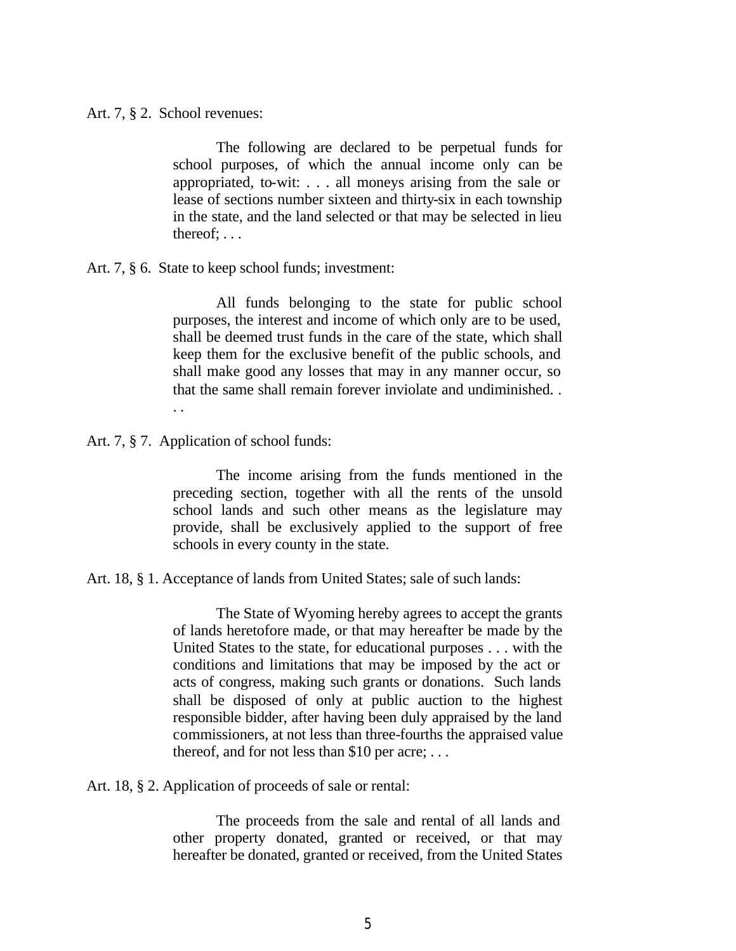Art. 7, § 2. School revenues:

The following are declared to be perpetual funds for school purposes, of which the annual income only can be appropriated, to-wit: . . . all moneys arising from the sale or lease of sections number sixteen and thirty-six in each township in the state, and the land selected or that may be selected in lieu thereof; . . .

Art. 7, § 6. State to keep school funds; investment:

All funds belonging to the state for public school purposes, the interest and income of which only are to be used, shall be deemed trust funds in the care of the state, which shall keep them for the exclusive benefit of the public schools, and shall make good any losses that may in any manner occur, so that the same shall remain forever inviolate and undiminished. . . .

Art. 7, § 7. Application of school funds:

The income arising from the funds mentioned in the preceding section, together with all the rents of the unsold school lands and such other means as the legislature may provide, shall be exclusively applied to the support of free schools in every county in the state.

Art. 18, § 1. Acceptance of lands from United States; sale of such lands:

The State of Wyoming hereby agrees to accept the grants of lands heretofore made, or that may hereafter be made by the United States to the state, for educational purposes . . . with the conditions and limitations that may be imposed by the act or acts of congress, making such grants or donations. Such lands shall be disposed of only at public auction to the highest responsible bidder, after having been duly appraised by the land commissioners, at not less than three-fourths the appraised value thereof, and for not less than \$10 per acre; . . .

Art. 18, § 2. Application of proceeds of sale or rental:

The proceeds from the sale and rental of all lands and other property donated, granted or received, or that may hereafter be donated, granted or received, from the United States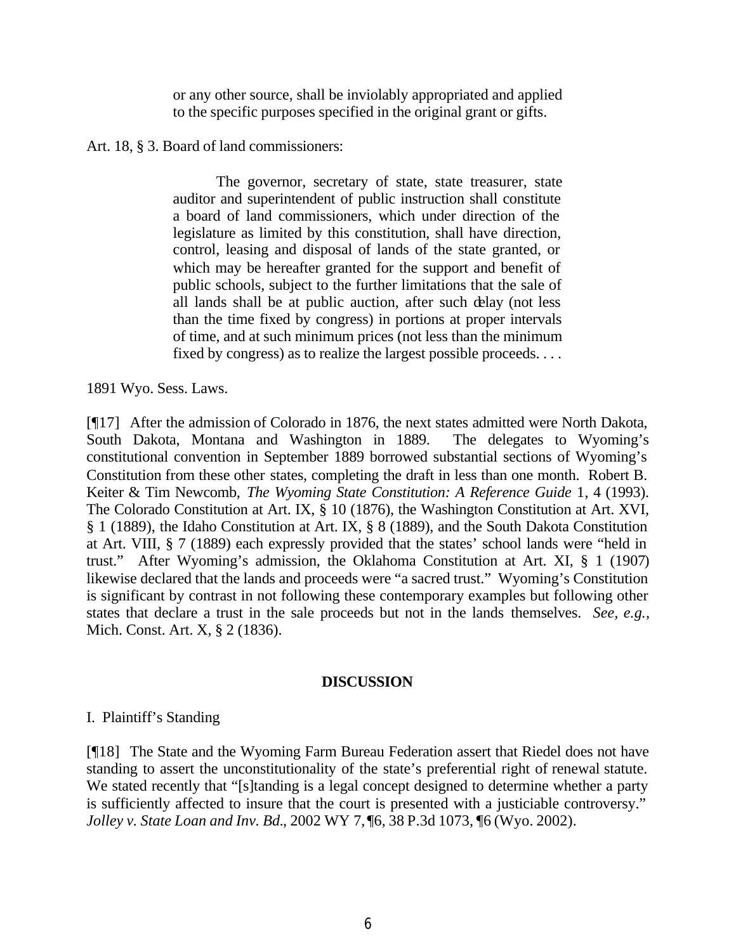or any other source, shall be inviolably appropriated and applied to the specific purposes specified in the original grant or gifts.

Art. 18, § 3. Board of land commissioners:

The governor, secretary of state, state treasurer, state auditor and superintendent of public instruction shall constitute a board of land commissioners, which under direction of the legislature as limited by this constitution, shall have direction, control, leasing and disposal of lands of the state granted, or which may be hereafter granted for the support and benefit of public schools, subject to the further limitations that the sale of all lands shall be at public auction, after such delay (not less than the time fixed by congress) in portions at proper intervals of time, and at such minimum prices (not less than the minimum fixed by congress) as to realize the largest possible proceeds. . . .

1891 Wyo. Sess. Laws.

[¶17] After the admission of Colorado in 1876, the next states admitted were North Dakota, South Dakota, Montana and Washington in 1889. The delegates to Wyoming's constitutional convention in September 1889 borrowed substantial sections of Wyoming's Constitution from these other states, completing the draft in less than one month. Robert B. Keiter & Tim Newcomb, *The Wyoming State Constitution: A Reference Guide* 1, 4 (1993). The Colorado Constitution at Art. IX, § 10 (1876), the Washington Constitution at Art. XVI, § 1 (1889), the Idaho Constitution at Art. IX, § 8 (1889), and the South Dakota Constitution at Art. VIII, § 7 (1889) each expressly provided that the states' school lands were "held in trust." After Wyoming's admission, the Oklahoma Constitution at Art. XI, § 1 (1907) likewise declared that the lands and proceeds were "a sacred trust." Wyoming's Constitution is significant by contrast in not following these contemporary examples but following other states that declare a trust in the sale proceeds but not in the lands themselves. *See, e.g.,* Mich. Const. Art. X, § 2 (1836).

### **DISCUSSION**

### I. Plaintiff's Standing

[¶18] The State and the Wyoming Farm Bureau Federation assert that Riedel does not have standing to assert the unconstitutionality of the state's preferential right of renewal statute. We stated recently that "[s]tanding is a legal concept designed to determine whether a party is sufficiently affected to insure that the court is presented with a justiciable controversy." *Jolley v. State Loan and Inv. Bd.*, 2002 WY 7, ¶6, 38 P.3d 1073, ¶6 (Wyo. 2002).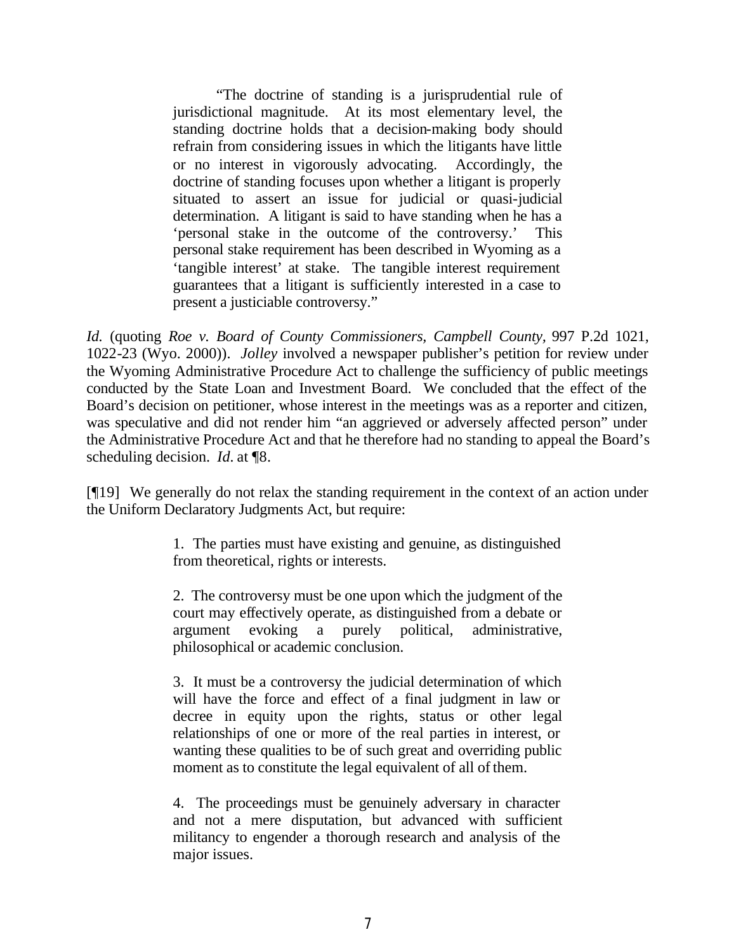"The doctrine of standing is a jurisprudential rule of jurisdictional magnitude. At its most elementary level, the standing doctrine holds that a decision-making body should refrain from considering issues in which the litigants have little or no interest in vigorously advocating. Accordingly, the doctrine of standing focuses upon whether a litigant is properly situated to assert an issue for judicial or quasi-judicial determination. A litigant is said to have standing when he has a 'personal stake in the outcome of the controversy.' This personal stake requirement has been described in Wyoming as a 'tangible interest' at stake. The tangible interest requirement guarantees that a litigant is sufficiently interested in a case to present a justiciable controversy."

*Id.* (quoting *Roe v. Board of County Commissioners, Campbell County,* 997 P.2d 1021, 1022-23 (Wyo. 2000)). *Jolley* involved a newspaper publisher's petition for review under the Wyoming Administrative Procedure Act to challenge the sufficiency of public meetings conducted by the State Loan and Investment Board. We concluded that the effect of the Board's decision on petitioner, whose interest in the meetings was as a reporter and citizen, was speculative and did not render him "an aggrieved or adversely affected person" under the Administrative Procedure Act and that he therefore had no standing to appeal the Board's scheduling decision. *Id.* at ¶8.

[¶19] We generally do not relax the standing requirement in the context of an action under the Uniform Declaratory Judgments Act, but require:

> 1. The parties must have existing and genuine, as distinguished from theoretical, rights or interests.

> 2. The controversy must be one upon which the judgment of the court may effectively operate, as distinguished from a debate or argument evoking a purely political, administrative, philosophical or academic conclusion.

> 3. It must be a controversy the judicial determination of which will have the force and effect of a final judgment in law or decree in equity upon the rights, status or other legal relationships of one or more of the real parties in interest, or wanting these qualities to be of such great and overriding public moment as to constitute the legal equivalent of all of them.

> 4. The proceedings must be genuinely adversary in character and not a mere disputation, but advanced with sufficient militancy to engender a thorough research and analysis of the major issues.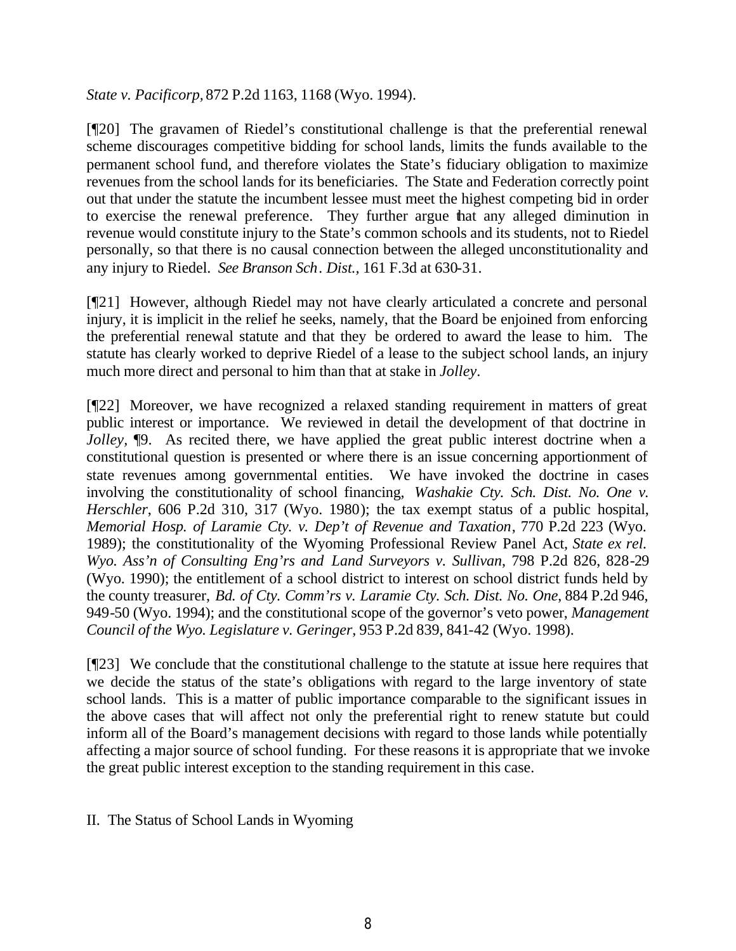*State v. Pacificorp,* 872 P.2d 1163, 1168 (Wyo. 1994).

[¶20] The gravamen of Riedel's constitutional challenge is that the preferential renewal scheme discourages competitive bidding for school lands, limits the funds available to the permanent school fund, and therefore violates the State's fiduciary obligation to maximize revenues from the school lands for its beneficiaries. The State and Federation correctly point out that under the statute the incumbent lessee must meet the highest competing bid in order to exercise the renewal preference. They further argue that any alleged diminution in revenue would constitute injury to the State's common schools and its students, not to Riedel personally, so that there is no causal connection between the alleged unconstitutionality and any injury to Riedel. *See Branson Sch. Dist.,* 161 F.3d at 630-31.

[¶21] However, although Riedel may not have clearly articulated a concrete and personal injury, it is implicit in the relief he seeks, namely, that the Board be enjoined from enforcing the preferential renewal statute and that they be ordered to award the lease to him. The statute has clearly worked to deprive Riedel of a lease to the subject school lands, an injury much more direct and personal to him than that at stake in *Jolley*.

[¶22] Moreover, we have recognized a relaxed standing requirement in matters of great public interest or importance. We reviewed in detail the development of that doctrine in *Jolley*,  $\phi$ . As recited there, we have applied the great public interest doctrine when a constitutional question is presented or where there is an issue concerning apportionment of state revenues among governmental entities. We have invoked the doctrine in cases involving the constitutionality of school financing, *Washakie Cty. Sch. Dist. No. One v. Herschler*, 606 P.2d 310, 317 (Wyo. 1980); the tax exempt status of a public hospital, *Memorial Hosp. of Laramie Cty. v. Dep't of Revenue and Taxation*, 770 P.2d 223 (Wyo. 1989); the constitutionality of the Wyoming Professional Review Panel Act*, State ex rel. Wyo. Ass'n of Consulting Eng'rs and Land Surveyors v. Sullivan*, 798 P.2d 826, 828-29 (Wyo. 1990); the entitlement of a school district to interest on school district funds held by the county treasurer, *Bd. of Cty. Comm'rs v. Laramie Cty. Sch. Dist. No. One*, 884 P.2d 946, 949-50 (Wyo. 1994); and the constitutional scope of the governor's veto power, *Management Council of the Wyo. Legislature v. Geringer*, 953 P.2d 839, 841-42 (Wyo. 1998).

[¶23] We conclude that the constitutional challenge to the statute at issue here requires that we decide the status of the state's obligations with regard to the large inventory of state school lands. This is a matter of public importance comparable to the significant issues in the above cases that will affect not only the preferential right to renew statute but could inform all of the Board's management decisions with regard to those lands while potentially affecting a major source of school funding. For these reasons it is appropriate that we invoke the great public interest exception to the standing requirement in this case.

II. The Status of School Lands in Wyoming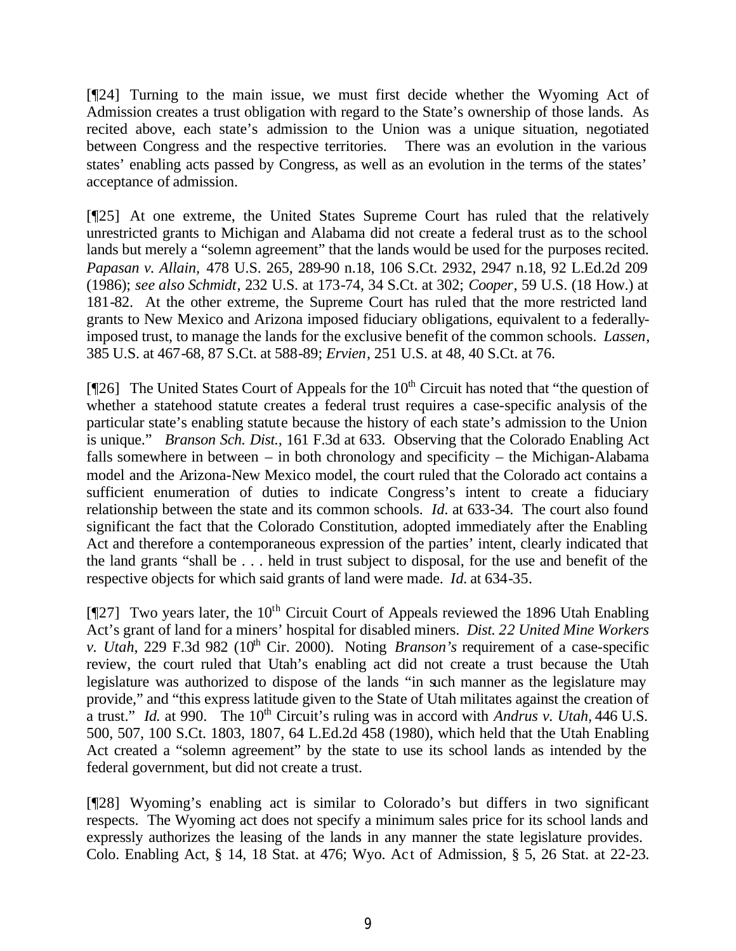[¶24] Turning to the main issue, we must first decide whether the Wyoming Act of Admission creates a trust obligation with regard to the State's ownership of those lands. As recited above, each state's admission to the Union was a unique situation, negotiated between Congress and the respective territories. There was an evolution in the various states' enabling acts passed by Congress, as well as an evolution in the terms of the states' acceptance of admission.

[¶25] At one extreme, the United States Supreme Court has ruled that the relatively unrestricted grants to Michigan and Alabama did not create a federal trust as to the school lands but merely a "solemn agreement" that the lands would be used for the purposes recited. *Papasan v. Allain,* 478 U.S. 265, 289-90 n.18, 106 S.Ct. 2932, 2947 n.18, 92 L.Ed.2d 209 (1986); *see also Schmidt*, 232 U.S. at 173-74, 34 S.Ct. at 302; *Cooper*, 59 U.S. (18 How.) at 181-82. At the other extreme, the Supreme Court has ruled that the more restricted land grants to New Mexico and Arizona imposed fiduciary obligations, equivalent to a federallyimposed trust, to manage the lands for the exclusive benefit of the common schools. *Lassen*, 385 U.S. at 467-68, 87 S.Ct. at 588-89; *Ervien*, 251 U.S. at 48, 40 S.Ct. at 76.

[ $[$ 26] The United States Court of Appeals for the 10<sup>th</sup> Circuit has noted that "the question of whether a statehood statute creates a federal trust requires a case-specific analysis of the particular state's enabling statute because the history of each state's admission to the Union is unique." *Branson Sch. Dist.,* 161 F.3d at 633. Observing that the Colorado Enabling Act falls somewhere in between – in both chronology and specificity – the Michigan-Alabama model and the Arizona-New Mexico model, the court ruled that the Colorado act contains a sufficient enumeration of duties to indicate Congress's intent to create a fiduciary relationship between the state and its common schools. *Id.* at 633-34. The court also found significant the fact that the Colorado Constitution, adopted immediately after the Enabling Act and therefore a contemporaneous expression of the parties' intent, clearly indicated that the land grants "shall be . . . held in trust subject to disposal, for the use and benefit of the respective objects for which said grants of land were made. *Id.* at 634-35.

[ $[$ [27] Two years later, the 10<sup>th</sup> Circuit Court of Appeals reviewed the 1896 Utah Enabling Act's grant of land for a miners' hospital for disabled miners. *Dist. 22 United Mine Workers v. Utah*, 229 F.3d 982 (10<sup>th</sup> Cir. 2000). Noting *Branson's* requirement of a case-specific review, the court ruled that Utah's enabling act did not create a trust because the Utah legislature was authorized to dispose of the lands "in such manner as the legislature may provide," and "this express latitude given to the State of Utah militates against the creation of a trust." *Id.* at 990. The 10<sup>th</sup> Circuit's ruling was in accord with *Andrus v. Utah*, 446 U.S. 500, 507, 100 S.Ct. 1803, 1807, 64 L.Ed.2d 458 (1980), which held that the Utah Enabling Act created a "solemn agreement" by the state to use its school lands as intended by the federal government, but did not create a trust.

[¶28] Wyoming's enabling act is similar to Colorado's but differs in two significant respects. The Wyoming act does not specify a minimum sales price for its school lands and expressly authorizes the leasing of the lands in any manner the state legislature provides. Colo. Enabling Act, § 14, 18 Stat. at 476; Wyo. Act of Admission, § 5, 26 Stat. at 22-23.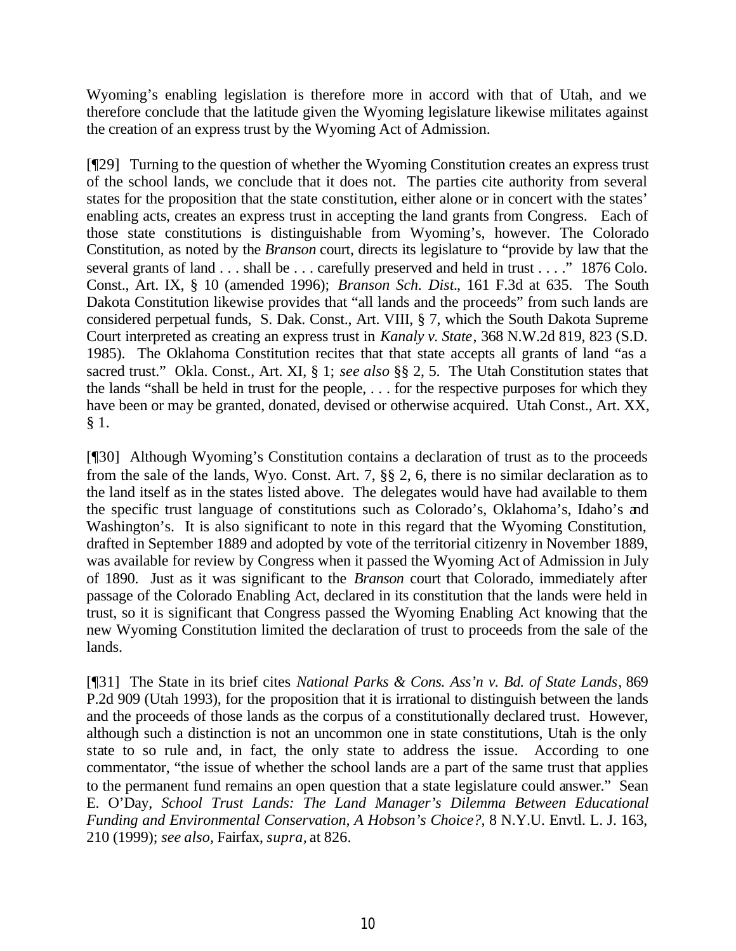Wyoming's enabling legislation is therefore more in accord with that of Utah, and we therefore conclude that the latitude given the Wyoming legislature likewise militates against the creation of an express trust by the Wyoming Act of Admission.

[¶29] Turning to the question of whether the Wyoming Constitution creates an express trust of the school lands, we conclude that it does not. The parties cite authority from several states for the proposition that the state constitution, either alone or in concert with the states' enabling acts, creates an express trust in accepting the land grants from Congress. Each of those state constitutions is distinguishable from Wyoming's, however. The Colorado Constitution, as noted by the *Branson* court, directs its legislature to "provide by law that the several grants of land . . . shall be . . . carefully preserved and held in trust . . . ." 1876 Colo. Const., Art. IX, § 10 (amended 1996); *Branson Sch. Dist.*, 161 F.3d at 635. The South Dakota Constitution likewise provides that "all lands and the proceeds" from such lands are considered perpetual funds, S. Dak. Const., Art. VIII, § 7, which the South Dakota Supreme Court interpreted as creating an express trust in *Kanaly v. State*, 368 N.W.2d 819, 823 (S.D. 1985). The Oklahoma Constitution recites that that state accepts all grants of land "as a sacred trust." Okla. Const., Art. XI, § 1; *see also* §§ 2, 5. The Utah Constitution states that the lands "shall be held in trust for the people, . . . for the respective purposes for which they have been or may be granted, donated, devised or otherwise acquired. Utah Const., Art. XX, § 1.

[¶30] Although Wyoming's Constitution contains a declaration of trust as to the proceeds from the sale of the lands, Wyo. Const. Art. 7, §§ 2, 6, there is no similar declaration as to the land itself as in the states listed above. The delegates would have had available to them the specific trust language of constitutions such as Colorado's, Oklahoma's, Idaho's and Washington's. It is also significant to note in this regard that the Wyoming Constitution, drafted in September 1889 and adopted by vote of the territorial citizenry in November 1889, was available for review by Congress when it passed the Wyoming Act of Admission in July of 1890. Just as it was significant to the *Branson* court that Colorado, immediately after passage of the Colorado Enabling Act, declared in its constitution that the lands were held in trust, so it is significant that Congress passed the Wyoming Enabling Act knowing that the new Wyoming Constitution limited the declaration of trust to proceeds from the sale of the lands.

[¶31] The State in its brief cites *National Parks & Cons. Ass'n v. Bd. of State Lands*, 869 P.2d 909 (Utah 1993), for the proposition that it is irrational to distinguish between the lands and the proceeds of those lands as the corpus of a constitutionally declared trust. However, although such a distinction is not an uncommon one in state constitutions, Utah is the only state to so rule and, in fact, the only state to address the issue. According to one commentator, "the issue of whether the school lands are a part of the same trust that applies to the permanent fund remains an open question that a state legislature could answer." Sean E. O'Day, *School Trust Lands: The Land Manager's Dilemma Between Educational Funding and Environmental Conservation, A Hobson's Choice?*, 8 N.Y.U. Envtl. L. J. 163, 210 (1999); *see also,* Fairfax, *supra,* at 826.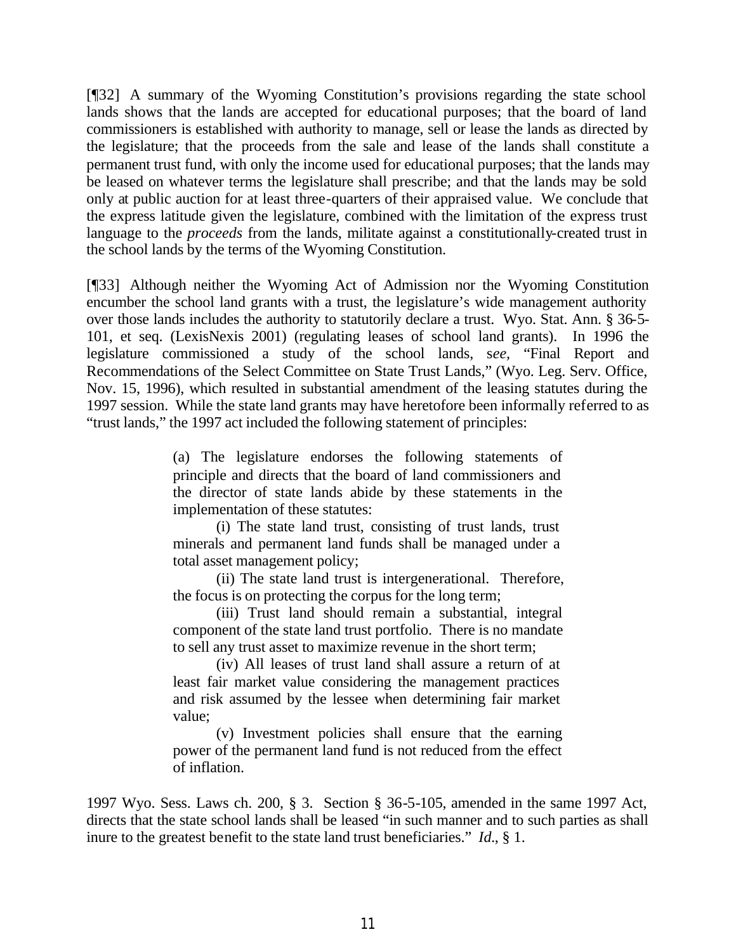[¶32] A summary of the Wyoming Constitution's provisions regarding the state school lands shows that the lands are accepted for educational purposes; that the board of land commissioners is established with authority to manage, sell or lease the lands as directed by the legislature; that the proceeds from the sale and lease of the lands shall constitute a permanent trust fund, with only the income used for educational purposes; that the lands may be leased on whatever terms the legislature shall prescribe; and that the lands may be sold only at public auction for at least three-quarters of their appraised value. We conclude that the express latitude given the legislature, combined with the limitation of the express trust language to the *proceeds* from the lands, militate against a constitutionally-created trust in the school lands by the terms of the Wyoming Constitution.

[¶33] Although neither the Wyoming Act of Admission nor the Wyoming Constitution encumber the school land grants with a trust, the legislature's wide management authority over those lands includes the authority to statutorily declare a trust. Wyo. Stat. Ann. § 36-5- 101, et seq. (LexisNexis 2001) (regulating leases of school land grants). In 1996 the legislature commissioned a study of the school lands, s*ee,* "Final Report and Recommendations of the Select Committee on State Trust Lands," (Wyo. Leg. Serv. Office, Nov. 15, 1996), which resulted in substantial amendment of the leasing statutes during the 1997 session. While the state land grants may have heretofore been informally referred to as "trust lands," the 1997 act included the following statement of principles:

> (a) The legislature endorses the following statements of principle and directs that the board of land commissioners and the director of state lands abide by these statements in the implementation of these statutes:

> (i) The state land trust, consisting of trust lands, trust minerals and permanent land funds shall be managed under a total asset management policy;

> (ii) The state land trust is intergenerational. Therefore, the focus is on protecting the corpus for the long term;

> (iii) Trust land should remain a substantial, integral component of the state land trust portfolio. There is no mandate to sell any trust asset to maximize revenue in the short term;

> (iv) All leases of trust land shall assure a return of at least fair market value considering the management practices and risk assumed by the lessee when determining fair market value;

> (v) Investment policies shall ensure that the earning power of the permanent land fund is not reduced from the effect of inflation.

1997 Wyo. Sess. Laws ch. 200, § 3. Section § 36-5-105, amended in the same 1997 Act, directs that the state school lands shall be leased "in such manner and to such parties as shall inure to the greatest benefit to the state land trust beneficiaries." *Id.*, § 1.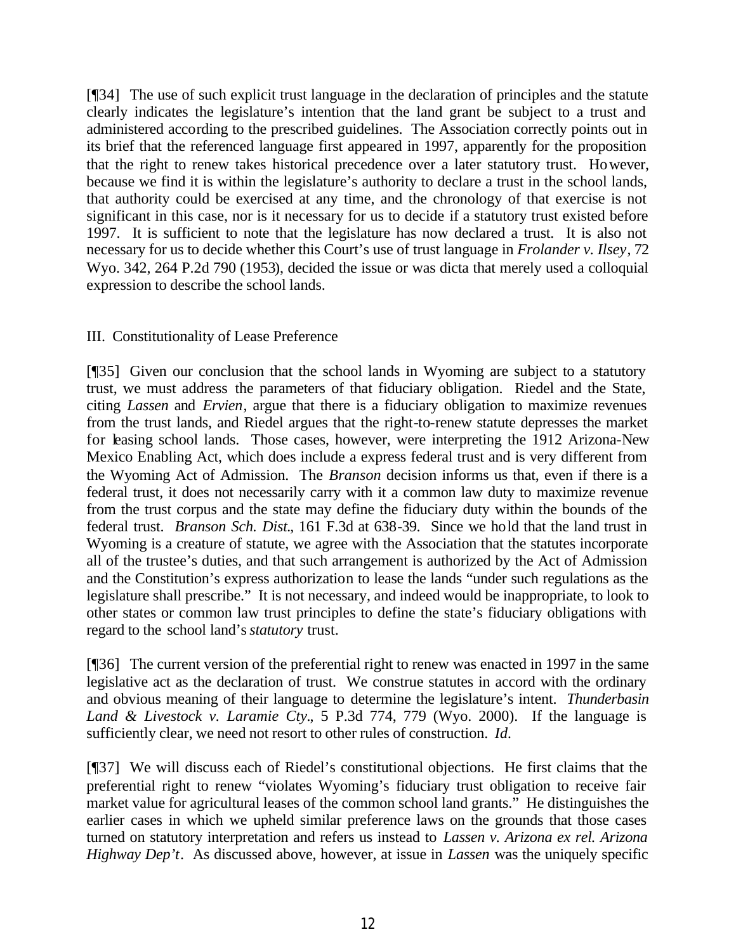[¶34] The use of such explicit trust language in the declaration of principles and the statute clearly indicates the legislature's intention that the land grant be subject to a trust and administered according to the prescribed guidelines. The Association correctly points out in its brief that the referenced language first appeared in 1997, apparently for the proposition that the right to renew takes historical precedence over a later statutory trust. However, because we find it is within the legislature's authority to declare a trust in the school lands, that authority could be exercised at any time, and the chronology of that exercise is not significant in this case, nor is it necessary for us to decide if a statutory trust existed before 1997. It is sufficient to note that the legislature has now declared a trust. It is also not necessary for us to decide whether this Court's use of trust language in *Frolander v. Ilsey*, 72 Wyo. 342, 264 P.2d 790 (1953), decided the issue or was dicta that merely used a colloquial expression to describe the school lands.

# III. Constitutionality of Lease Preference

[¶35] Given our conclusion that the school lands in Wyoming are subject to a statutory trust, we must address the parameters of that fiduciary obligation. Riedel and the State, citing *Lassen* and *Ervien*, argue that there is a fiduciary obligation to maximize revenues from the trust lands, and Riedel argues that the right-to-renew statute depresses the market for leasing school lands. Those cases, however, were interpreting the 1912 Arizona-New Mexico Enabling Act, which does include a express federal trust and is very different from the Wyoming Act of Admission. The *Branson* decision informs us that, even if there is a federal trust, it does not necessarily carry with it a common law duty to maximize revenue from the trust corpus and the state may define the fiduciary duty within the bounds of the federal trust. *Branson Sch. Dist.*, 161 F.3d at 638-39. Since we hold that the land trust in Wyoming is a creature of statute, we agree with the Association that the statutes incorporate all of the trustee's duties, and that such arrangement is authorized by the Act of Admission and the Constitution's express authorization to lease the lands "under such regulations as the legislature shall prescribe." It is not necessary, and indeed would be inappropriate, to look to other states or common law trust principles to define the state's fiduciary obligations with regard to the school land's *statutory* trust.

[¶36] The current version of the preferential right to renew was enacted in 1997 in the same legislative act as the declaration of trust. We construe statutes in accord with the ordinary and obvious meaning of their language to determine the legislature's intent. *Thunderbasin Land & Livestock v. Laramie Cty.*, 5 P.3d 774, 779 (Wyo. 2000). If the language is sufficiently clear, we need not resort to other rules of construction. *Id.*

[¶37] We will discuss each of Riedel's constitutional objections. He first claims that the preferential right to renew "violates Wyoming's fiduciary trust obligation to receive fair market value for agricultural leases of the common school land grants." He distinguishes the earlier cases in which we upheld similar preference laws on the grounds that those cases turned on statutory interpretation and refers us instead to *Lassen v. Arizona ex rel. Arizona Highway Dep't*. As discussed above, however, at issue in *Lassen* was the uniquely specific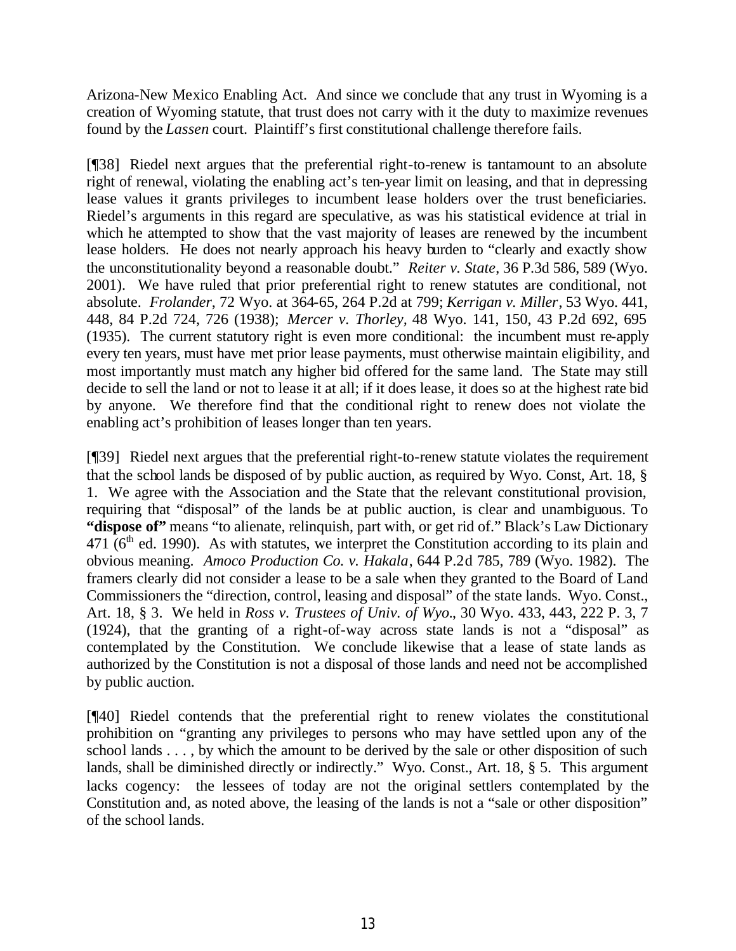Arizona-New Mexico Enabling Act. And since we conclude that any trust in Wyoming is a creation of Wyoming statute, that trust does not carry with it the duty to maximize revenues found by the *Lassen* court. Plaintiff's first constitutional challenge therefore fails.

[¶38] Riedel next argues that the preferential right-to-renew is tantamount to an absolute right of renewal, violating the enabling act's ten-year limit on leasing, and that in depressing lease values it grants privileges to incumbent lease holders over the trust beneficiaries. Riedel's arguments in this regard are speculative, as was his statistical evidence at trial in which he attempted to show that the vast majority of leases are renewed by the incumbent lease holders. He does not nearly approach his heavy burden to "clearly and exactly show the unconstitutionality beyond a reasonable doubt." *Reiter v. State*, 36 P.3d 586, 589 (Wyo. 2001). We have ruled that prior preferential right to renew statutes are conditional, not absolute. *Frolander*, 72 Wyo. at 364-65, 264 P.2d at 799; *Kerrigan v. Miller*, 53 Wyo. 441, 448, 84 P.2d 724, 726 (1938); *Mercer v. Thorley,* 48 Wyo. 141, 150, 43 P.2d 692, 695 (1935). The current statutory right is even more conditional: the incumbent must re-apply every ten years, must have met prior lease payments, must otherwise maintain eligibility, and most importantly must match any higher bid offered for the same land. The State may still decide to sell the land or not to lease it at all; if it does lease, it does so at the highest rate bid by anyone. We therefore find that the conditional right to renew does not violate the enabling act's prohibition of leases longer than ten years.

[¶39] Riedel next argues that the preferential right-to-renew statute violates the requirement that the school lands be disposed of by public auction, as required by Wyo. Const, Art. 18, § 1. We agree with the Association and the State that the relevant constitutional provision, requiring that "disposal" of the lands be at public auction, is clear and unambiguous. To "dispose of" means "to alienate, relinquish, part with, or get rid of." Black's Law Dictionary  $471$  ( $6<sup>th</sup>$  ed. 1990). As with statutes, we interpret the Constitution according to its plain and obvious meaning. *Amoco Production Co. v. Hakala*, 644 P.2d 785, 789 (Wyo. 1982). The framers clearly did not consider a lease to be a sale when they granted to the Board of Land Commissioners the "direction, control, leasing and disposal" of the state lands. Wyo. Const., Art. 18, § 3. We held in *Ross v. Trustees of Univ. of Wyo.*, 30 Wyo. 433, 443, 222 P. 3, 7 (1924), that the granting of a right-of-way across state lands is not a "disposal" as contemplated by the Constitution. We conclude likewise that a lease of state lands as authorized by the Constitution is not a disposal of those lands and need not be accomplished by public auction.

[¶40] Riedel contends that the preferential right to renew violates the constitutional prohibition on "granting any privileges to persons who may have settled upon any of the school lands . . . , by which the amount to be derived by the sale or other disposition of such lands, shall be diminished directly or indirectly." Wyo. Const., Art. 18, § 5. This argument lacks cogency: the lessees of today are not the original settlers contemplated by the Constitution and, as noted above, the leasing of the lands is not a "sale or other disposition" of the school lands.